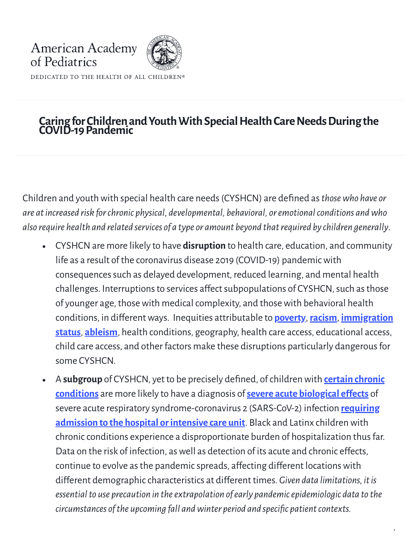

#### **Caring for Children and Youth With Special Health Care Needs During the COVID-19Pandemic**

Children and youth with special health care needs (CYSHCN) are defined as *those who have or are atincreased risk for chronic physical, developmental, behavioral, or emotionalconditions andwho also require health and related services of a type or amount beyond thatrequired by children generally*.

- CYSHCN are more likely to have **disruption** to health care, education, and community life as a result of the coronavirus disease 2019 (COVID-19) pandemicwith consequences such as delayed development, reduced learning, and mental health challenges. Interruptions to services affect subpopulations of CYSHCN, such as those of younger age, those with medical complexity, and those with behavioral health conditions, in [diferentways.](https://pediatrics.aappublications.org/content/144/3/e20192077) Inequities attributable to **[poverty](https://pediatrics.aappublications.org/content/137/4/e20160339)**,**[racism](https://pediatrics.aappublications.org/content/144/2/e20191765)**, **immigration status**, **[ableism](https://www.accessliving.org/newsroom/blog/ableism-101/)**, health conditions, geography, health care access, educational access, child care access, and other factors make these disruptions particularly dangerousfor some CYSHCN.
- A **subgroup** of CYSHCN, yet to be precisely defined, of children with **certain chronic**  $\bullet$ **conditions** are more likely to have a diagnosis of**severe acute [biological](https://www.cdc.gov/coronavirus/2019-ncov/need-extra-precautions/people-at-increased-risk.html) efects** of severe acute respiratory [syndrome-coronavirus](https://www.cdc.gov/mmwr/volumes/69/wr/mm6932e3.htm?s_cid=mm6932e3_w) 2 (SARS-CoV-2) infection **requiring admission to the hospital orintensive care unit**. Black and Latinx childrenwith chronic conditions experience a disproportionate burden of hospitalization thus far. Data on the risk of infection, aswell as detection of its acute and chronic efects, continue to evolve as the pandemic spreads, affecting different locations with diferent demographiccharacteristics at diferent times. *Given data limitations, itis essentialto use precaution in theextrapolation ofearly pandemicepidemiologic data to the circumstances ofthe upcoming fall andwinter period and specic patientcontexts.*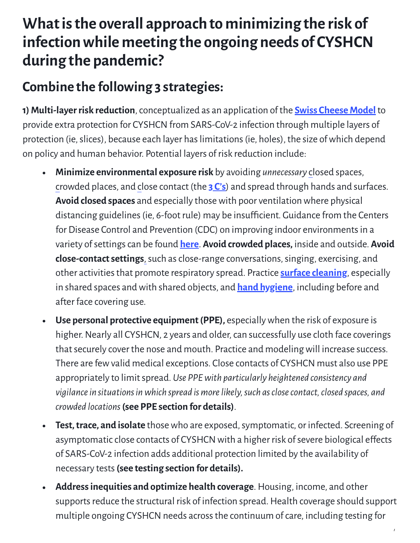## **Whatisthe overall approach to minimizing the risk of infectionwhile meeting the ongoing needs of CYSHCN during the pandemic?**

### **Combine the following 3 strategies:**

**1) Multi-layer risk reduction**, conceptualized as an application of the **Swiss Cheese Model** to provide extra protection for CYSHCN from SARS-CoV-2 infection through multiple layers of protection (ie, slices), because each layer has limitations (ie, holes), the size of which depend on policy and human behavior. Potential layers of risk reduction include:

- **Minimize environmental exposure risk** by avoiding *unnecessary* closed spaces, crowded places, and close contact (the **3 [C's](https://www.mhlw.go.jp/content/10900000/000615287.pdf)**) and spread through hands and surfaces. **Avoid closed spaces** and especially thosewith poor ventilationwhere physical distancing guidelines (ie, 6-foot rule) may be insufficient. Guidance from the Centers for Disease Control and Prevention (CDC) on improving indoor environments in a variety ofsettingscan be found **[here](https://www.cdc.gov/coronavirus/2019-ncov/community/index.html)**. **Avoid crowded places,** inside and outside. **Avoid close-contact settings**, such as close-range conversations, singing, exercising, and other activitiesthat promote respiratory spread. Practice **surface [cleaning](https://www.cdc.gov/coronavirus/2019-ncov/prevent-getting-sick/cleaning-disinfection.html)**, especially in shared spaces andwith shared objects, and **hand [hygiene](https://www.cdc.gov/handwashing/when-how-handwashing.html)**, including before and after face covering use.
- **Use personal protective equipment(PPE),** especiallywhen the risk of exposure is higher. Nearly all CYSHCN, 2 years and older, can successfully use cloth face coverings that securely cover the nose and mouth. Practice and modeling will increase success. There are fewvalid medical exceptions. Close contacts of CYSHCN must also use PPE appropriately to limitspread. *Use PPEwith particularly heightened consistency and vigilancein situationsinwhich spread is morelikely,such asclosecontact,closed spaces, and crowded locations* **(see PPE section for details)**.
- **Test, trace, and isolate** those who are exposed, symptomatic, or infected. Screening of  $\bullet$ asymptomatic close contacts of CYSHCN with a higher risk of severe biological effects of SARS-CoV-2 infection adds additional protection limited by the availability of necessary tests**(see testing section for details).**
- **Addressinequities and optimize health coverage**.Housing, income, and other  $\bullet$ supports reduce the structural risk of infection spread. Health coverage should support multiple ongoing CYSHCN needs across the continuum of care, including testing for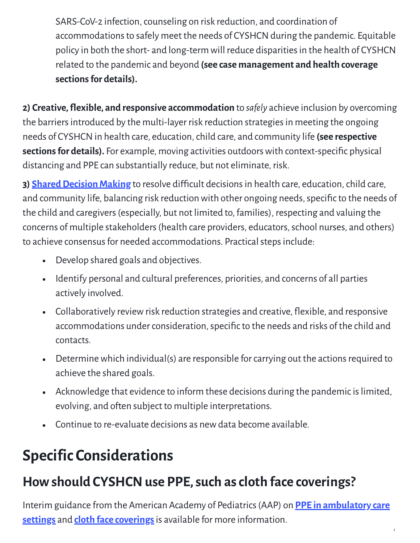SARS-CoV-2 infection, counseling on risk reduction, and coordination of accommodations to safely meet the needs of CYSHCN during the pandemic. Equitable policy in both the short- and long-term will reduce disparities in the health of CYSHCN related to the pandemic and beyond **(see case management and health coverage** sections for details).

**2) Creative, flexible, and responsive accommodation** to *safely* achieve inclusion by overcoming the barriers introduced by the multi-layer risk reduction strategies in meeting the ongoing needs of CYSHCNin health care, education,child care, and community life **(see respective sections for details).** For example, moving activities outdoors with context-specific physical distancing and PPE can substantially reduce, but not eliminate, risk.

**3) Shared Decision Making** to resolve difficult decisions in health care, education, child care, and community life, balancing risk reduction with other ongoing needs, specific to the needs of the child and caregivers(especially, but not limited to, families), respecting and valuing the concerns of multiple stakeholders (health care providers, educators, school nurses, and others) to achieve consensus for needed accommodations. Practical steps include:

- Develop shared goals and objectives.  $\bullet$
- Identify personal and cultural preferences, priorities, and concerns of all parties  $\bullet$ actively involved.
- Collaboratively review risk reduction strategies and creative, flexible, and responsive accommodations under consideration, specific to the needs and risks of the child and contacts.
- Determine which individual(s) are responsible for carrying out the actions required to  $\bullet$ achieve the shared goals.
- Acknowledge that evidence to inform these decisions during the pandemic is limited,  $\bullet$ evolving, and often subject to multiple interpretations.
- Continue to re-evaluate decisions as newdata become available.  $\bullet$

# **Specific Considerations**

## **Howshould CYSHCNuse PPE,such ascloth face coverings?**

[Interim guidance](https://services.aap.org/link/ad6228d6b526496e97488b7a9eea8654.aspx) from the American Academy of Pediatrics(AAP) on **PPE in ambulatory care settings** and **cloth face [coverings](https://services.aap.org/link/36c1c680a30c4824836211e008332757.aspx)**is available for more information.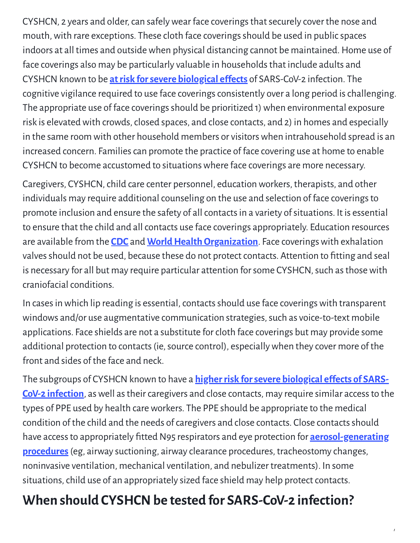CYSHCN, 2 years and older, can safely wear face coverings that securely cover the nose and mouth, with rare exceptions. These cloth face coverings should be used in public spaces indoors at all times and outside when physical distancing cannot be maintained. Home use of face coverings also may be particularly valuable in households that include adults and CYSHCNknown to be **atrisk forsevere [biological](https://www.cdc.gov/coronavirus/2019-ncov/need-extra-precautions/people-at-increased-risk.html) efects** of SARS-CoV-2 infection. The cognitive vigilance required to use face coverings consistently over a long period is challenging. The appropriate use of face coverings should be prioritized 1) when environmental exposure risk is elevated with crowds, closed spaces, and close contacts, and 2) in homes and especially in the same room with other household members or visitorswhen intrahousehold spread is an increased concern. Families can promote the practice of face covering use at home to enable CYSHCN to become accustomed to situations where face coverings are more necessary.

Caregivers, CYSHCN, child care center personnel, education workers, therapists, and other individuals may require additional counseling on the use and selection of face coverings to promote inclusion and ensure the safety of all contacts in a variety of situations. It is essential to ensure that the child and all contacts use face coverings appropriately. Education resources are available from the **[CDC](https://www.cdc.gov/coronavirus/2019-ncov/prevent-getting-sick/cloth-face-cover-guidance.html)** and **World Health Organization**. Face coverings with exhalation valves should not be used, because these do not protect contacts. Attention to fitting and seal is necessary for all but may require particular attention for some CYSHCN, such as those with craniofacial conditions.

In cases in which lip reading is essential, contacts should use face coverings with transparent windows and/or use augmentative communication strategies, such as voice-to-text mobile applications. Face shields are not a substitute for cloth face coverings but may provide some additional protection to contacts (ie, source control), especially when they cover more of the front and sides of the face and neck.

The subgroups of CYSHCN known to have a **higher risk for severe biological effects of SARS-CoV-2 infection**, as well as their caregivers and close contacts, may require similar access to the types of PPE used by health care workers. The PPE should be appropriate to the medical condition of the child and the needs of caregivers and close contacts. Close contacts should have access to appropriately fitted N95 respirators and eye protection for **[aerosol-generating](https://www.cdc.gov/coronavirus/2019-ncov/hcp/faq.html) procedures**(eg, airway suctioning, airway clearance procedures, tracheostomy changes, noninvasive ventilation, mechanical ventilation, and nebulizer treatments). In some situations, child use of an appropriately sized face shield may help protect contacts.

/

### **When should CYSHCN be tested for SARS-CoV-2 infection?**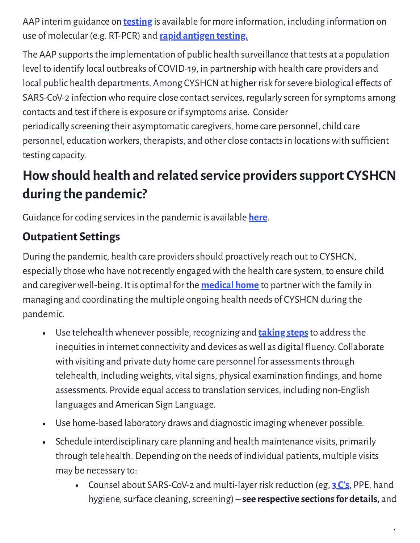AAP interim guidance on **[testing](https://services.aap.org/link/33d8ca6e4cf8410b9668ac4ee848f2b5.aspx)** is available for more information, including information on use of molecular (e.g. RT-PCR) and **rapid [antigen](https://www.cdc.gov/coronavirus/2019-ncov/lab/resources/antigen-tests-guidelines.html#:~:text=CDC%20recommends%20that%20laboratory%20and,the%20previous%207%E2%80%9310%20days.) testing.**

The AAP supports the implementation of public health surveillance that tests at a population level to identify local outbreaks of COVID-19, in partnershipwith health care providers and local public health departments. Among CYSHCN at higher risk for severe biological effects of SARS-CoV-2 infection who require close contact services, regularly screen for symptoms among contacts and test if there is exposure or ifsymptoms arise. Consider periodically screening their asymptomaticcaregivers, home care personnel,child care personnel, education workers, therapists, and other close contacts in locations with sufficient testing capacity.

## **Howshould health and related service providerssupport CYSHCN during the pandemic?**

Guidance for coding services in the pandemic is available [here](https://downloads.aap.org/AAP/PDF/COVID%202020.pdf).

### **Outpatient Settings**

During the pandemic, health care providersshould proactively reach out to CYSHCN, especially thosewho have not recently engagedwith the health care system, to ensure child and caregiverwell-being. It is optimal for the **[medical](https://medicalhomeinfo.aap.org/Pages/default.aspx) home** to partnerwith the family in managing and coordinating the multiple ongoing health needs of CYSHCN during the pandemic.

- Use telehealthwhenever possible, recognizing and **[taking steps](https://www.fcc.gov/consumers/guides/lifeline-support-affordable-communications)**to addressthe inequities in internet connectivity and devices as well as digital fluency. Collaborate with visiting and private duty home care personnel for assessments through telehealth, including weights, vital signs, physical examination findings, and home assessments. Provide equal accessto translation services, including non-English languages and American Sign Language.
- Use home-based laboratory draws and diagnosticimagingwhenever possible.
- Schedule interdisciplinary care planning and health maintenance visits, primarily  $\bullet$ through telehealth. Depending on the needs of individual patients, multiple visits may be necessary to:
	- Counsel about SARS-CoV-2 and multi-layer risk reduction (eg, **3 [C's](https://www.mhlw.go.jp/content/10900000/000615287.pdf)**, PPE, hand hygiene, surface cleaning, screening) – **see respective sections for details,** and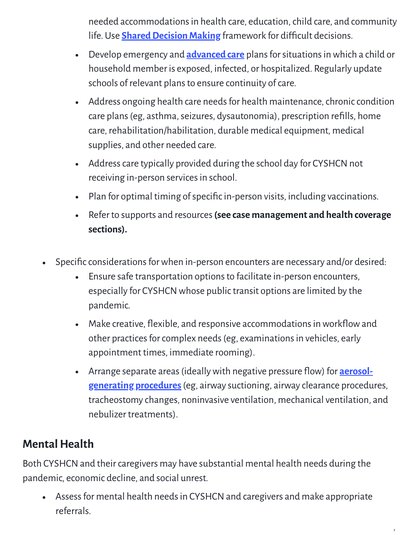needed accommodations in health care, education, child care, and community life. Use **Shared Decision Making** framework for difficult decisions.

- Develop emergency and **[advanced](https://www.nhpco.org/patients-and-caregivers/advance-care-planning/) care** plansforsituationsinwhich a child or  $\bullet$ household member is exposed, infected, or hospitalized. Regularly update schools of relevant plans to ensure continuity of care.
- Address ongoing health care needs for health maintenance, chronic condition care plans (eg, asthma, seizures, dysautonomia), prescription refills, home care, rehabilitation/habilitation, durable medical equipment, medical supplies, and other needed care.
- Address care typically provided during the school day for CYSHCN not receiving in-person services in school.
- Plan for optimal timing of specific in-person visits, including vaccinations.  $\bullet$  .
- Refer to supports and resources**(see case management and health coverage**  $\bullet$ **sections).**
- Specific considerations for when in-person encounters are necessary and/or desired:  $\bullet$ 
	- Ensure safe transportation options to facilitate in-person encounters,  $\bullet$ especially for CYSHCNwhose publictransit options are limited by the pandemic.
	- Make creative, flexible, and responsive accommodations in workflow and other practices for complex needs (eg, examinations in vehicles, early appointment times, immediate rooming).
	- Arrange separate areas (ideally with negative pressure flow) for **aerosol[generating procedures](https://www.cdc.gov/coronavirus/2019-ncov/hcp/faq.html)**(eg, airway suctioning, airway clearance procedures, tracheostomy changes, noninvasive ventilation, mechanical ventilation, and nebulizer treatments).

/

### **Mental Health**

Both CYSHCN and their caregivers may have substantial mental health needs during the pandemic, economic decline, and social unrest.

• Assess for mental health needs in CYSHCN and caregivers and make appropriate referrals.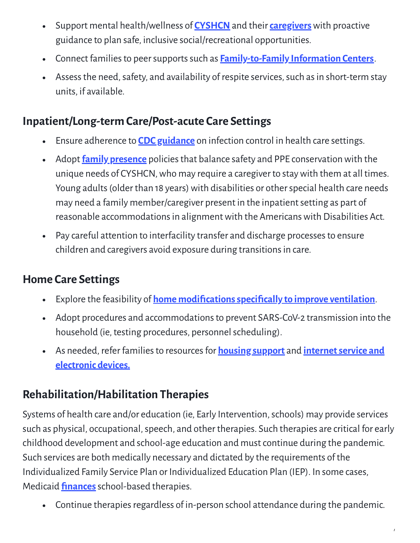- Support mental health/wellness of **[CYSHCN](https://www.cdc.gov/coronavirus/2019-ncov/daily-life-coping/for-parents.html)**and their**[caregivers](https://www.cdc.gov/family/specialneeds/index.htm)**with proactive  $\bullet$ guidance to plan safe, inclusive social/recreational opportunities.
- Connect familiesto peersupportssuch as **[Family-to-Family](https://familyvoices.org/lfpp/f2fs/) Information Centers**.  $\bullet$
- Assess the need, safety, and availability of respite services, such as in short-term stay  $\bullet$ units, if available.

#### **Inpatient/Long-term Care/Post-acute Care Settings**

- Ensure adherence to **CDC [guidance](https://www.cdc.gov/coronavirus/2019-ncov/hcp/infection-control.html)** on infection control in health care settings.  $\bullet$
- Adopt **family [presence](https://services.aap.org/link/fb2d54cf7f884a279ea35039eef1c320.aspx)** policiesthat balance safety and PPE conservationwith the unique needs of CYSHCN, who may require a caregiver to stay with them at all times. Young adults (older than 18 years) with disabilities or other special health care needs may need a family member/caregiver present in the inpatient setting as part of reasonable accommodations in alignment with the Americans with Disabilities Act.
- Pay careful attention to interfacility transfer and discharge processes to ensure children and caregivers avoid exposure during transitionsin care.

#### **Home Care Settings**

- Explore the feasibility of **home modifications specifically to improve ventilation**.  $\bullet$
- Adopt procedures and accommodationsto prevent SARS-CoV-2 transmission into the household (ie, testing procedures, personnel scheduling).
- As needed, refer familiesto resourcesfor **[h](https://www.fcc.gov/consumers/guides/lifeline-support-affordable-communications)[ousing support](https://www.jchs.harvard.edu/covid-19-resources)** and **internetservice and electronic devices.**

### **Rehabilitation/Habilitation Therapies**

Systems of health care and/or education (ie, Early Intervention,schools) may provide services such as physical, occupational, speech, and other therapies. Such therapies are critical for early childhood development and school-age education and mustcontinue during the pandemic. Such services are both medically necessary and dictated by the requirements of the Individualized Family Service Plan or Individualized Education Plan (IEP). In some cases, Medicaid **fi[nances](https://www.macpac.gov/wp-content/uploads/2018/04/Medicaid-in-Schools.pdf)** school-based therapies.

• Continue therapies regardless of in-person school attendance during the pandemic.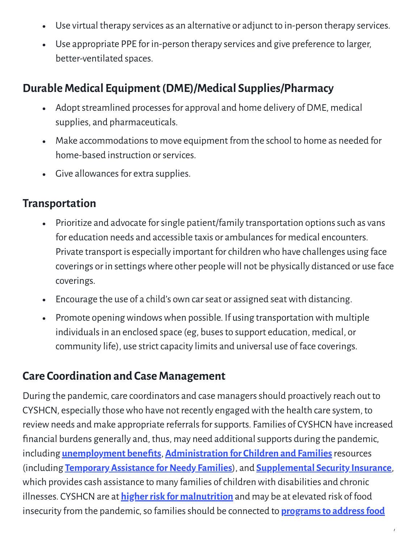- Use virtual therapy services as an alternative or adjunct to in-person therapy services.  $\bullet$
- Use appropriate PPE for in-person therapy services and give preference to larger, better-ventilated spaces.

#### **DurableMedical Equipment(DME)/Medical Supplies/Pharmacy**

- Adopt streamlined processes for approval and home delivery of DME, medical  $\bullet$ supplies, and pharmaceuticals.
- Make accommodations to move equipment from the school to home as needed for  $\bullet$ home-based instruction orservices.
- Give allowances for extra supplies.

#### **Transportation**

- Prioritize and advocate for single patient/family transportation options such as vans  $\bullet$ for education needs and accessible taxis or ambulances for medical encounters. Private transport is especially important forchildrenwho have challenges using face coverings or in settingswhere other peoplewill not be physically distanced or use face coverings.
- Encourage the use of a child's own carseat or assigned seatwith distancing.  $\bullet$
- Promote opening windows when possible. If using transportation with multiple  $\bullet$ individuals in an enclosed space (eg, buses to support education, medical, or community life), use strict capacity limits and universal use of face coverings.

#### **Care Coordination and CaseManagement**

During the pandemic, care coordinators and case managers should proactively reach out to CYSHCN, especially thosewho have not recently engagedwith the health care system, to review needs and make appropriate referrals for supports. Families of CYSHCN have increased financial burdens generally and, thus, may need additional supports during the pandemic, **including [unemployment](https://www.dol.gov/coronavirus/unemployment-insurance) benefits, [Administration](https://www.acf.hhs.gov/coronavirus) for Children and Families** resources **(including [Temporary](https://www.acf.hhs.gov/ofa/programs/tanf) Assistance for Needy Families)**, and **[Supplemental](https://www.ssa.gov/ssi/text-child-ussi.htm) Security Insurance**, which provides cash assistance to many families of children with disabilities and chronic illnesses. CYSHCN are at *higher risk for [malnutrition](https://jandonline.org/article/S2212-2672(15)00121-5/fulltext)* and may be at elevated risk of food insecurity from the pandemic, so families should be connected to **programs to address food**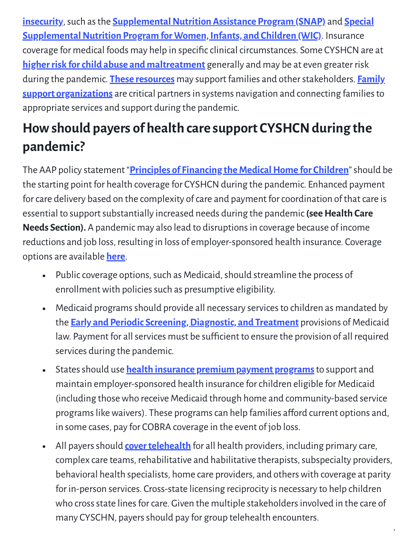**insecurity**, such as the **Supplemental Nutrition Assistance Program (SNAP)** and **Special <u>Supplemental Nutrition Program for Women, Infants, and Children (WIC)</u>. Insurance** coverage for medical foods may help in specific clinical circumstances. Some CYSHCN are at **higher risk for child abuse and [maltreatment](https://www.cdc.gov/ncbddd/disabilityandsafety/abuse.html)** generally and may be at even greater risk during the pandemic. **These [resources](https://preventchildabuse.org/coronavirus-resources/)** may support families and [otherstakeholders.](https://familyvoices.org/lfpp/f2fs/) **Family support organizations** are critical partnersin systems navigation and connecting familiesto appropriate services and support during the pandemic.

## **How should payers of health care support CYSHCN during the pandemic?**

The AAP policy statement "**Principles of [Financing theMedicalHome](https://pediatrics.aappublications.org/content/145/1/e20193451) for Children**"should be the starting point for health coverage for CYSHCN during the pandemic. Enhanced payment for care delivery based on the complexity of care and payment for coordination of that care is essential to supportsubstantially increased needs during the pandemic**(seeHealth Care Needs Section).** A pandemic may also lead to disruptionsin coverage because of income reductions and job loss, resulting in loss of employer-sponsored health insurance. Coverage options are available **[here](https://www.healthcare.gov/unemployed/coverage/)**.

- Public coverage options, such as Medicaid, should streamline the process of enrollment with policies such as presumptive eligibility.
- Medicaid programs should provide all necessary services to children as mandated by  $\bullet$ **the <b>Early** and **Periodic Screening, Diagnostic, and Treatment** provisions of Medicaid law. Payment for all services must be sufficient to ensure the provision of all required services during the pandemic.
- Statesshould use **health insurance [premium payment](https://www.hms.com/resource/the-health-insurance-premium-payment-program-in-2019/) programs**to support and  $\bullet$ maintain employer-sponsored health insurance forchildren eligible for Medicaid (including thosewho receive Medicaid through home and community-based service programs like waivers). These programs can help families afford current options and, in some cases, pay for COBRA coverage in the event of job loss.
- All payers should **cover telehealth** for all health providers, including primary care,  $\bullet$ complex care teams, rehabilitative and habilitative therapists, subspecialty providers, behavioral health specialists, home care providers, and others with coverage at parity for in-person services. Cross-state licensing reciprocity is necessary to help children who cross state lines for care. Given the multiple stakeholders involved in the care of many CYSCHN, payers should pay for group telehealth encounters.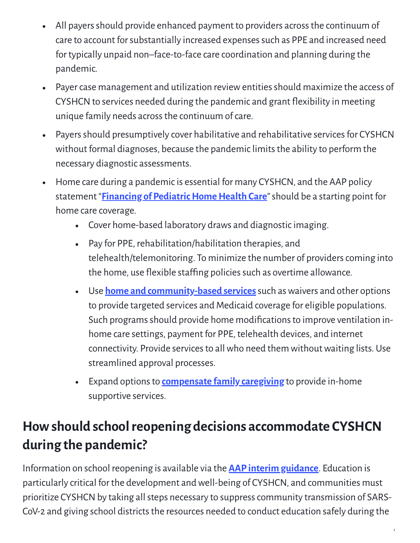- All payers should provide enhanced payment to providers across the continuum of  $\bullet$ care to account for substantially increased expenses such as PPE and increased need for typically unpaid non–face-to-face care coordination and planning during the pandemic.
- Payer case management and utilization review entities should maximize the access of CYSHCN to services needed during the pandemic and grant flexibility in meeting unique family needs across the continuum of care.
- Payers should presumptively cover habilitative and rehabilitative services for CYSHCN  $\bullet$ without formal diagnoses, because the pandemic limits the ability to perform the necessary diagnostic assessments.
- Home care during a pandemic is essential for many CYSHCN, and the AAP policy  $\bullet$ statement "**Financing of [PediatricHomeHealth](https://pediatrics.aappublications.org/content/139/3/e20164202) Care**"should be a starting point for home care coverage.
	- Cover home-based laboratory draws and diagnosticimaging.
	- Pay for PPE, rehabilitation/habilitation therapies, and telehealth/telemonitoring. To minimize the number of providers coming into the home, use flexible staffing policies such as overtime allowance.
	- Use **home and [community-based](https://www.kidswaivers.org/) services**such aswaivers and other options to provide targeted services and Medicaid coverage for eligible populations. Such programs should provide home modifications to improve ventilation inhome care settings, payment for PPE, telehealth devices, and internet connectivity. Provide services to all who need them without waiting lists. Use streamlined approval processes.
	- Expand optionsto **[compensate](https://www.cga.ct.gov/2019/rpt/pdf/2019-R-0171.pdf) family caregiving** to provide in-home  $\bullet$ supportive services.

## **Howshould schoolreopening decisions accommodate CYSHCN during the pandemic?**

Information on school reopening is available via the **[AAP interim guidance](https://services.aap.org/link/39a4a609623f44769407e23a80bf14a6.aspx)**. Education is particularly critical for the development andwell-being of CYSHCN, and communities must prioritize CYSHCN by taking all steps necessary to suppress community transmission of SARS-CoV-2 and giving school districts the resources needed to conduct education safely during the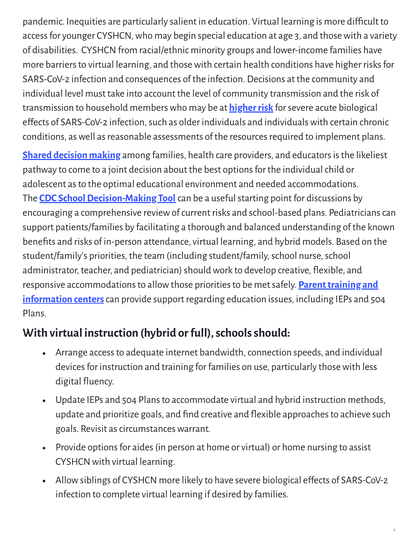pandemic. Inequities are particularly salient in education. Virtual learning is more difficult to access for younger CYSHCN, who may begin special education at age 3, and those with a variety of disabilities. CYSHCN from racial/ethnic minority groups and lower-income families have more barriers to virtual learning, and those with certain health conditions have higher risks for SARS-CoV-2 infection and consequences of the infection. Decisions at the community and individual level must take into account the level of community transmission and the risk of transmission to household memberswho may be at **[higherrisk](https://www.cdc.gov/coronavirus/2019-ncov/need-extra-precautions/people-at-increased-risk.html)** forsevere acute biological effects of SARS-CoV-2 infection, such as older individuals and individuals with certain chronic conditions, as well as reasonable assessments of the resources required to implement plans.

**Shared [decision](https://pediatrics.aappublications.org/content/139/6/e20170956) making** among families, health care providers, and educators is the likeliest pathway to come to a joint decision about the best options for the individual child or adolescent as to the optimal educational environment and needed accommodations. The **CDC School Decision-Making Tool** can be a useful starting point for discussions by encouraging a comprehensive review of current risks and school-based plans. Pediatricians can support patients/families by facilitating a thorough and balanced understanding of the known benefits and risks of in-person attendance, virtual learning, and hybrid models. Based on the student/family's priorities, the team (including student/family, school nurse, school administrator, teacher, and pediatrician) should work to develop creative, flexible, and responsive accommodations to allow those priorities to be met safely. **Parent training and information centers**can provide support regarding education issues, including IEPs and 504 Plans.

### **With virtual instruction (hybrid or full), schools should:**

- Arrange access to adequate internet bandwidth, connection speeds, and individual  $\bullet$ devices for instruction and training for families on use, particularly those with less digital fluency.
- Update IEPs and 504 Plans to accommodate virtual and hybrid instruction methods, update and prioritize goals, and find creative and flexible approaches to achieve such goals. Revisit as circumstances warrant.
- Provide options for aides (in person at home or virtual) or home nursing to assist  $\bullet$ CYSHCN with virtual learning.
- Allowsiblings of CYSHCN more likely to have severe biological efects of SARS-CoV-2  $\bullet$ infection to complete virtual learning if desired by families.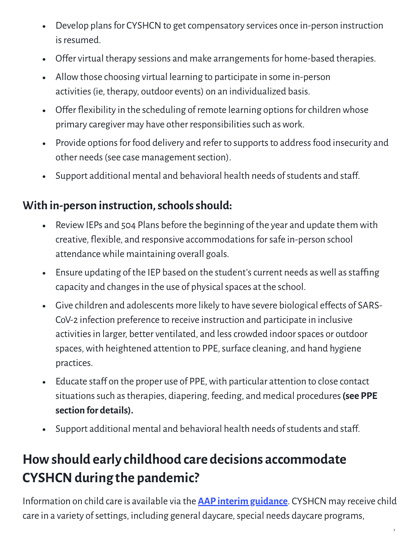- Develop plans for CYSHCN to get compensatory services once in-person instruction  $\bullet$ isresumed.
- Offer virtual therapy sessions and make arrangements for home-based therapies.
- Allowthose choosing virtual learning to participate in some in-person  $\bullet$ activities(ie, therapy, outdoor events) on an individualized basis.
- Offer flexibility in the scheduling of remote learning options for children whose  $\bullet$ primary caregiver may have other responsibilities such as work.
- Provide options for food delivery and refer to supports to address food insecurity and  $\bullet$ other needs (see case management section).
- Support additional mental and behavioral health needs of students and staff.  $\bullet$

#### **With in-person instruction,schoolsshould:**

- Review IEPs and 504 Plans before the beginning of the year and update them with  $\bullet$ creative, flexible, and responsive accommodations for safe in-person school attendancewhile maintaining overall goals.
- Ensure updating of the IEP based on the student's current needs as well as staffing  $\bullet$ capacity and changes in the use of physical spaces at the school.
- Give children and adolescents more likely to have severe biological efects of SARS-CoV-2 infection preference to receive instruction and participate in inclusive activities in larger, better ventilated, and less crowded indoor spaces or outdoor spaces, with heightened attention to PPE, surface cleaning, and hand hygiene practices.
- Educate staff on the proper use of PPE, with particular attention to close contact  $\bullet$ situationssuch astherapies, diapering, feeding, and medical procedures**(see PPE section for details).**
- Support additional mental and behavioral health needs of students and staff.  $\bullet$

### **Howshould early childhood care decisions accommodate CYSHCN** during the pandemic?

Information on child care is available via the **[AAP interim guidance](https://services.aap.org/link/9f62bdbb70fb4842be79e8547e09d160.aspx)**. CYSHCN may receive child care in a variety of settings, including general daycare, special needs daycare programs,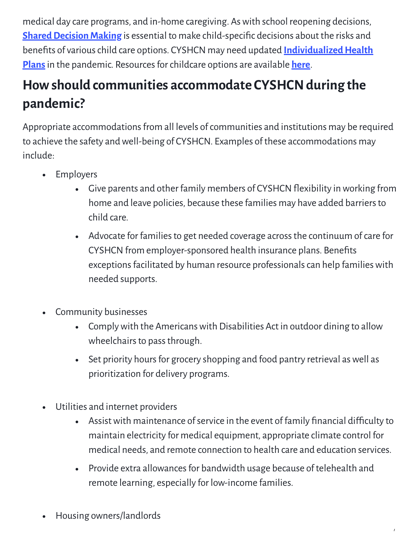medical day care programs, and in-home caregiving. Aswith school reopening decisions, **Shared Decision Making** is essential to make child-specific decisions about the risks and benefits of various child care options. CYSHCN may need updated **Individualized Health Plans** in the pandemic. Resources for childcare options are available [here](https://www.childcare.gov/consumer-education/services-for-children-with-disabilities).

## **How should communities accommodate CYSHCN during the pandemic?**

Appropriate accommodations from all levels of communities and institutions may be required to achieve the safety and well-being of CYSHCN. Examples of these accommodations may include:

- Employers  $\bullet$ 
	- Give parents and other family members of CYSHCN flexibility in working from home and leave policies, because these families may have added barriers to child care.
	- Advocate for families to get needed coverage across the continuum of care for CYSHCN from employer-sponsored health insurance plans. Benefits exceptions facilitated by human resource professionals can help families with needed supports.
- Community businesses
	- Complywith the Americanswith Disabilities Act in outdoor dining to allow wheelchairs to pass through.
	- Set priority hours for grocery shopping and food pantry retrieval as well as prioritization for delivery programs.
- Utilities and internet providers
	- Assist with maintenance of service in the event of family financial difficulty to maintain electricity for medical equipment, appropriate climate control for medical needs, and remote connection to health care and education services.

- Provide extra allowances for bandwidth usage because of telehealth and remote learning, especially for low-income families.
- Housing owners/landlords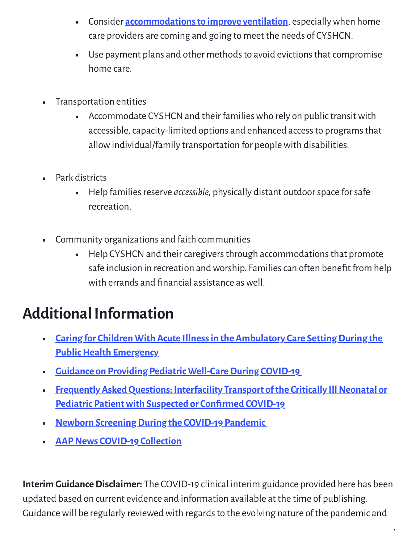- Consider **[accommodationsto](https://www.epa.gov/coronavirus/how-can-i-increase-ventilation-home-help-protect-my-family-covid-19) improve ventilation**, especiallywhen home care providers are coming and going to meet the needs of CYSHCN.
- Use payment plans and other methods to avoid evictions that compromise home care.
- Transportation entities
	- Accommodate CYSHCN and their families who rely on public transit with accessible, capacity-limited options and enhanced access to programs that allowindividual/family transportation for peoplewith disabilities.
- Park districts  $\bullet$ 
	- Help families reserve *accessible*, physically distant outdoor space for safe  $\bullet$ recreation.
- Community organizations and faith communities
	- Help CYSHCN and their caregivers through accommodations that promote  $\bullet$ safe inclusion in recreation and worship. Families can often benefit from help with errands and financial assistance as well.

## **AdditionalInformation**

- **Caring for Children With Acute Illnessin the Ambulatory Care [Setting During the](https://services.aap.org/link/3f2524dcfca4473f91bd072b010de98a.aspx)**  $\bullet$ **Public Health Emergency**
- **<u>Guidance on Providing Pediatric Well-Care During COVID-19</u>**  $\bullet$
- **Frequently Asked Questions: Interfacility Transport of the Critically III Neonatal or**  $\bullet$ **Pediatric Patient with Suspected or Confirmed COVID-19**
- **Newborn [Screening During the](https://services.aap.org/link/70090d41d5a84d7cbd2c2796e696dbfc.aspx) COVID-19 Pandemic**  $\bullet$
- **[AAP News](https://www.aappublications.org/news/2020/01/28/coronavirus) COVID-19 Collection**

**Interim Guidance Disclaimer:** The COVID-19 clinical interim guidance provided here has been updated based on current evidence and information available at the time of publishing. Guidance will be regularly reviewed with regards to the evolving nature of the pandemic and